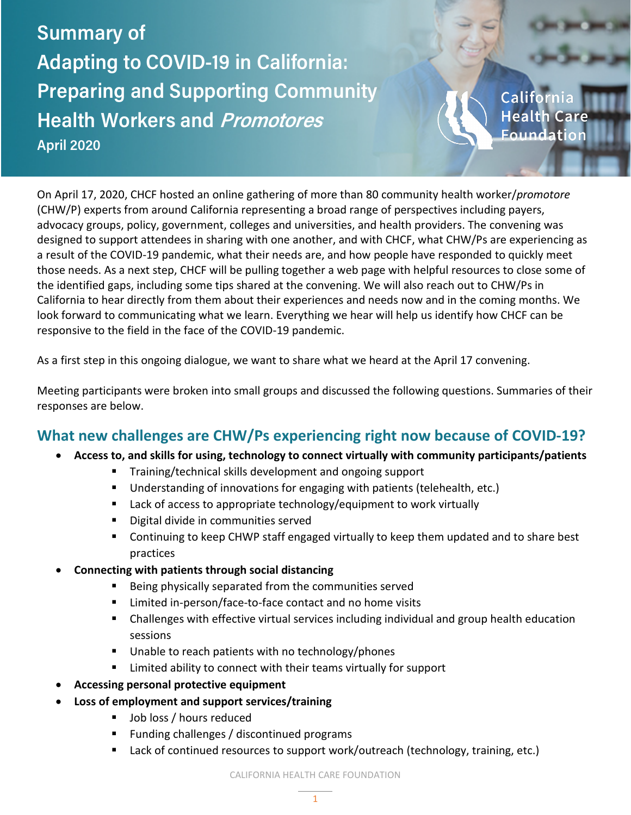**Summary of Adapting to COVID-19 in California: Preparing and Supporting Community Health Workers and Promotores April 2020**

Californ **Health Care** Foundation

On April 17, 2020, CHCF hosted an online gathering of more than 80 community health worker/*promotore* (CHW/P) experts from around California representing a broad range of perspectives including payers, advocacy groups, policy, government, colleges and universities, and health providers. The convening was designed to support attendees in sharing with one another, and with CHCF, what CHW/Ps are experiencing as a result of the COVID-19 pandemic, what their needs are, and how people have responded to quickly meet those needs. As a next step, CHCF will be pulling together a web page with helpful resources to close some of the identified gaps, including some tips shared at the convening. We will also reach out to CHW/Ps in California to hear directly from them about their experiences and needs now and in the coming months. We look forward to communicating what we learn. Everything we hear will help us identify how CHCF can be responsive to the field in the face of the COVID-19 pandemic.

As a first step in this ongoing dialogue, we want to share what we heard at the April 17 convening.

Meeting participants were broken into small groups and discussed the following questions. Summaries of their responses are below.

## **What new challenges are CHW/Ps experiencing right now because of COVID-19?**

- **Access to, and skills for using, technology to connect virtually with community participants/patients**
	- **Training/technical skills development and ongoing support**
	- Understanding of innovations for engaging with patients (telehealth, etc.)
	- Lack of access to appropriate technology/equipment to work virtually
	- **Digital divide in communities served**
	- **EXT** Continuing to keep CHWP staff engaged virtually to keep them updated and to share best practices
- **Connecting with patients through social distancing**
	- **Being physically separated from the communities served**
	- Limited in-person/face-to-face contact and no home visits
	- Challenges with effective virtual services including individual and group health education sessions
	- Unable to reach patients with no technology/phones
	- **EXT** Limited ability to connect with their teams virtually for support
- **Accessing personal protective equipment**
- **Loss of employment and support services/training**
	- **Job loss / hours reduced**
	- **Funding challenges / discontinued programs**
	- Lack of continued resources to support work/outreach (technology, training, etc.)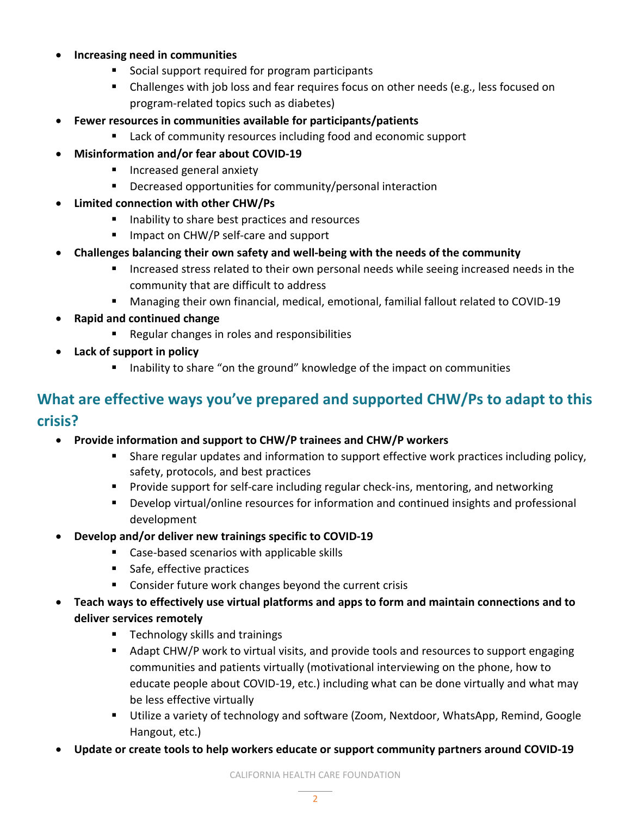## • **Increasing need in communities**

- Social support required for program participants
- Challenges with job loss and fear requires focus on other needs (e.g., less focused on program-related topics such as diabetes)
- **Fewer resources in communities available for participants/patients**
	- Lack of community resources including food and economic support
- **Misinformation and/or fear about COVID-19**
	- **Increased general anxiety**
	- **Decreased opportunities for community/personal interaction**
- **Limited connection with other CHW/Ps**
	- Inability to share best practices and resources
	- **Impact on CHW/P self-care and support**
- **Challenges balancing their own safety and well-being with the needs of the community**
	- Increased stress related to their own personal needs while seeing increased needs in the community that are difficult to address
	- Managing their own financial, medical, emotional, familial fallout related to COVID-19
- **Rapid and continued change**
	- Regular changes in roles and responsibilities
- **Lack of support in policy**
	- **IF Inability to share "on the ground" knowledge of the impact on communities**

## **What are effective ways you've prepared and supported CHW/Ps to adapt to this crisis?**

- **Provide information and support to CHW/P trainees and CHW/P workers**
	- Share regular updates and information to support effective work practices including policy, safety, protocols, and best practices
	- **Provide support for self-care including regular check-ins, mentoring, and networking**
	- **Develop virtual/online resources for information and continued insights and professional** development
- **Develop and/or deliver new trainings specific to COVID-19**
	- Case-based scenarios with applicable skills
	- Safe, effective practices
	- **Consider future work changes beyond the current crisis**
- **Teach ways to effectively use virtual platforms and apps to form and maintain connections and to deliver services remotely**
	- **Technology skills and trainings**
	- Adapt CHW/P work to virtual visits, and provide tools and resources to support engaging communities and patients virtually (motivational interviewing on the phone, how to educate people about COVID-19, etc.) including what can be done virtually and what may be less effective virtually
	- Utilize a variety of technology and software (Zoom, Nextdoor, WhatsApp, Remind, Google Hangout, etc.)
- **Update or create tools to help workers educate or support community partners around COVID-19**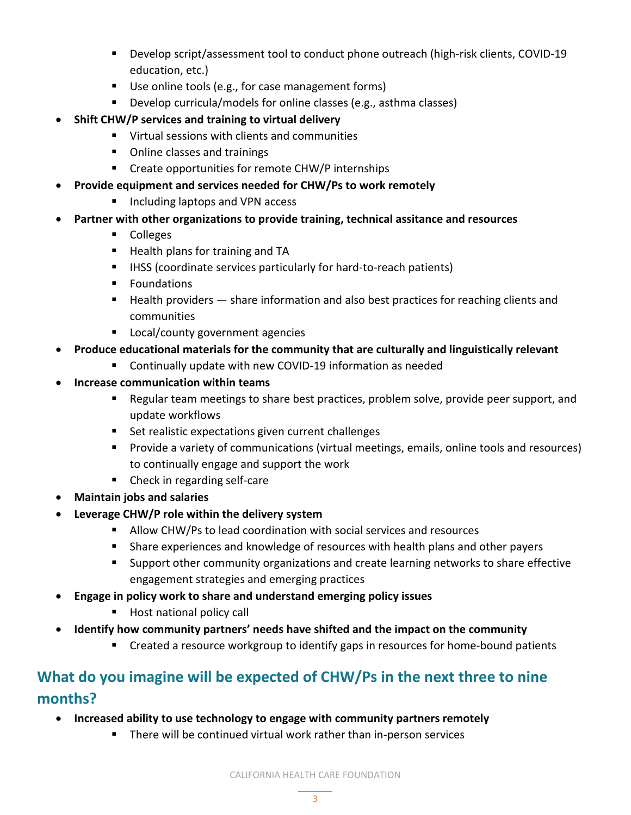- **Develop script/assessment tool to conduct phone outreach (high-risk clients, COVID-19** education, etc.)
- Use online tools (e.g., for case management forms)
- Develop curricula/models for online classes (e.g., asthma classes)
- **Shift CHW/P services and training to virtual delivery**
	- **UPICAL SESSIONS With clients and communities**
	- Online classes and trainings
	- **EXP** Create opportunities for remote CHW/P internships
- **Provide equipment and services needed for CHW/Ps to work remotely**
	- Including laptops and VPN access
- **Partner with other organizations to provide training, technical assitance and resources**
	- **Colleges**
	- Health plans for training and TA
	- **IFILMS** (coordinate services particularly for hard-to-reach patients)
	- **Foundations**
	- Health providers share information and also best practices for reaching clients and communities
	- **Local/county government agencies**
- **Produce educational materials for the community that are culturally and linguistically relevant**
	- Continually update with new COVID-19 information as needed
- **Increase communication within teams**
	- **EXE** Regular team meetings to share best practices, problem solve, provide peer support, and update workflows
	- **Set realistic expectations given current challenges**
	- Provide a variety of communications (virtual meetings, emails, online tools and resources) to continually engage and support the work
	- **•** Check in regarding self-care
- **Maintain jobs and salaries**
- **Leverage CHW/P role within the delivery system**
	- Allow CHW/Ps to lead coordination with social services and resources
	- Share experiences and knowledge of resources with health plans and other payers
	- **Support other community organizations and create learning networks to share effective** engagement strategies and emerging practices
- **Engage in policy work to share and understand emerging policy issues**
	- Host national policy call
- **Identify how community partners' needs have shifted and the impact on the community**
	- **EXP** Created a resource workgroup to identify gaps in resources for home-bound patients

## **What do you imagine will be expected of CHW/Ps in the next three to nine months?**

- **Increased ability to use technology to engage with community partners remotely**
	- **There will be continued virtual work rather than in-person services**